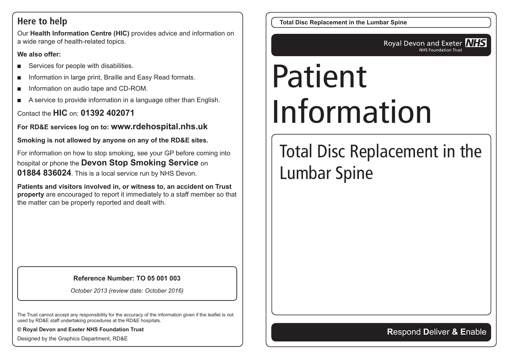#### **Here to help**

Our **Health Information Centre (HIC)** provides advice and information on a wide range of health-related topics.

#### **We also offer:**

- Services for people with disabilities.
- Information in large print, Braille and Easy Read formats.
- Information on audio tape and CD-ROM.
- A service to provide information in a language other than English.

Contact the **HIC** on: **01392 402071**

**For RD&E services log on to: www.rdehospital.nhs.uk**

**Smoking is not allowed by anyone on any of the RD&E sites.**

For information on how to stop smoking, see your GP before coming into hospital or phone the **Devon Stop Smoking Service** on **01884 836024**. This is a local service run by NHS Devon.

**Patients and visitors involved in, or witness to, an accident on Trust property** are encouraged to report it immediately to a staff member so that the matter can be properly reported and dealt with.

#### **Reference Number: TO 05 001 003**

*October 2013 (review date: October 2016)*

The Trust cannot accept any responsibility for the accuracy of the information given if the leaflet is not used by RD&E staff undertaking procedures at the RD&E hospitals.

**© Royal Devon and Exeter NHS Foundation Trust**

Designed by the Graphics Department, RD&E

**Total Disc Replacement in the Lumbar Spine**

**Royal Devon and Exeter NHS** NHS Foundation Trust

# Patient Information

# Total Disc Replacement in the Lumbar Spine

#### **R**espond **D**eliver **& E**nable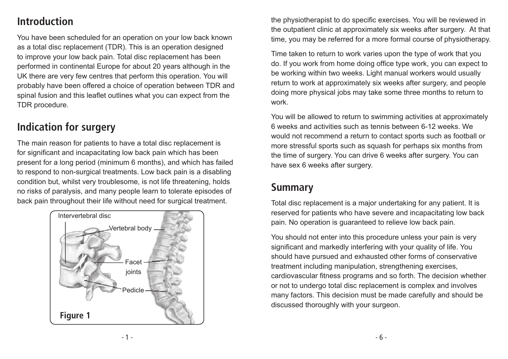# **Introduction**

You have been scheduled for an operation on your low back known as a total disc replacement (TDR). This is an operation designed to improve your low back pain. Total disc replacement has been performed in continental Europe for about 20 years although in the UK there are very few centres that perform this operation. You will probably have been offered a choice of operation between TDR and spinal fusion and this leaflet outlines what you can expect from the TDR procedure.

# **Indication for surgery**

The main reason for patients to have a total disc replacement is for significant and incapacitating low back pain which has been present for a long period (minimum 6 months), and which has failed to respond to non-surgical treatments. Low back pain is a disabling condition but, whilst very troublesome, is not life threatening, holds no risks of paralysis, and many people learn to tolerate episodes of back pain throughout their life without need for surgical treatment.



the physiotherapist to do specific exercises. You will be reviewed in the outpatient clinic at approximately six weeks after surgery. At that time, you may be referred for a more formal course of physiotherapy.

Time taken to return to work varies upon the type of work that you do. If you work from home doing office type work, you can expect to be working within two weeks. Light manual workers would usually return to work at approximately six weeks after surgery, and people doing more physical jobs may take some three months to return to work.

You will be allowed to return to swimming activities at approximately 6 weeks and activities such as tennis between 6-12 weeks. We would not recommend a return to contact sports such as football or more stressful sports such as squash for perhaps six months from the time of surgery. You can drive 6 weeks after surgery. You can have sex 6 weeks after surgery.

### **Summary**

Total disc replacement is a major undertaking for any patient. It is reserved for patients who have severe and incapacitating low back pain. No operation is guaranteed to relieve low back pain.

You should not enter into this procedure unless your pain is very significant and markedly interfering with your quality of life. You should have pursued and exhausted other forms of conservative treatment including manipulation, strengthening exercises, cardiovascular fitness programs and so forth. The decision whether or not to undergo total disc replacement is complex and involves many factors. This decision must be made carefully and should be discussed thoroughly with your surgeon.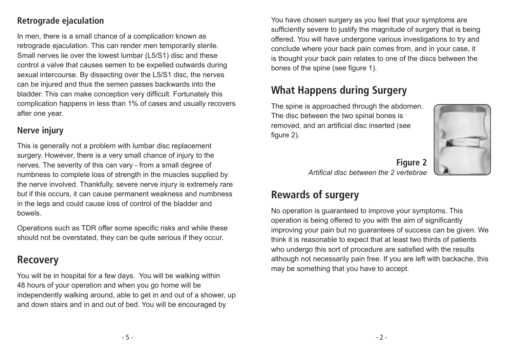#### **Retrograde ejaculation**

In men, there is a small chance of a complication known as retrograde ejaculation. This can render men temporarily sterile. Small nerves lie over the lowest lumbar (L5/S1) disc and these control a valve that causes semen to be expelled outwards during sexual intercourse. By dissecting over the L5/S1 disc, the nerves can be injured and thus the semen passes backwards into the bladder. This can make conception very difficult. Fortunately this complication happens in less than 1% of cases and usually recovers after one year.

#### **Nerve injury**

This is generally not a problem with lumbar disc replacement surgery. However, there is a very small chance of injury to the nerves. The severity of this can vary - from a small degree of numbness to complete loss of strength in the muscles supplied by the nerve involved. Thankfully, severe nerve injury is extremely rare but if this occurs, it can cause permanent weakness and numbness in the legs and could cause loss of control of the bladder and bowels.

Operations such as TDR offer some specific risks and while these should not be overstated, they can be quite serious if they occur.

#### **Recovery**

You will be in hospital for a few days. You will be walking within 48 hours of your operation and when you go home will be independently walking around, able to get in and out of a shower, up and down stairs and in and out of bed. You will be encouraged by

You have chosen surgery as you feel that your symptoms are sufficiently severe to justify the magnitude of surgery that is being offered. You will have undergone various investigations to try and conclude where your back pain comes from, and in your case, it is thought your back pain relates to one of the discs between the bones of the spine (see figure 1).

# **What Happens during Surgery**

The spine is approached through the abdomen. The disc between the two spinal bones is removed, and an artificial disc inserted (see figure 2).



**Figure 2** *Artifical disc between the 2 vertebrae*

# **Rewards of surgery**

No operation is guaranteed to improve your symptoms. This operation is being offered to you with the aim of significantly improving your pain but no guarantees of success can be given. We think it is reasonable to expect that at least two thirds of patients who undergo this sort of procedure are satisfied with the results although not necessarily pain free. If you are left with backache, this may be something that you have to accept.